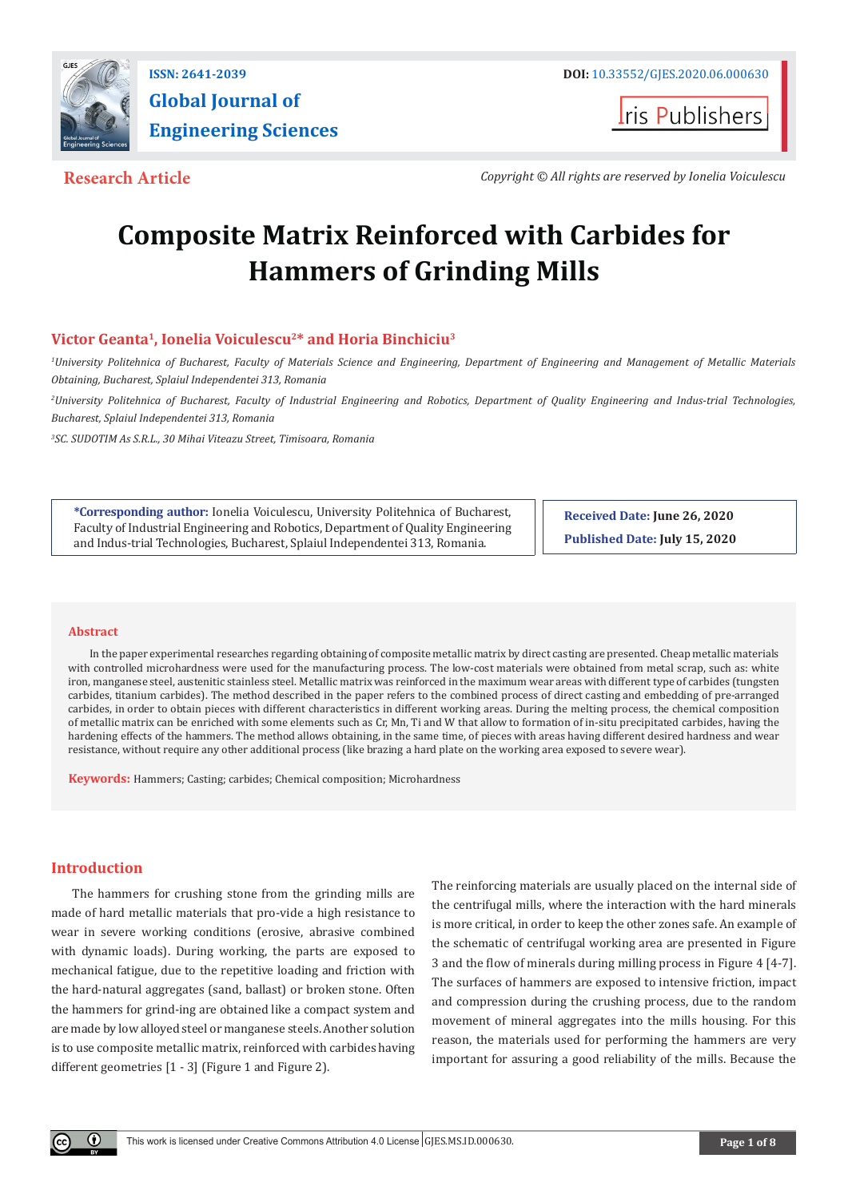

**Iris Publishers** 

**Research Article** *Copyright © All rights are reserved by Ionelia Voiculescu*

# **Composite Matrix Reinforced with Carbides for Hammers of Grinding Mills**

# **Victor Geanta1, Ionelia Voiculescu2\* and Horia Binchiciu3**

*1 University Politehnica of Bucharest, Faculty of Materials Science and Engineering, Department of Engineering and Management of Metallic Materials Obtaining, Bucharest, Splaiul Independentei 313, Romania*

*2 University Politehnica of Bucharest, Faculty of Industrial Engineering and Robotics, Department of Quality Engineering and Indus-trial Technologies, Bucharest, Splaiul Independentei 313, Romania*

*3 SC. SUDOTIM As S.R.L., 30 Mihai Viteazu Street, Timisoara, Romania*

**\*Corresponding author:** Ionelia Voiculescu, University Politehnica of Bucharest, Faculty of Industrial Engineering and Robotics, Department of Quality Engineering and Indus-trial Technologies, Bucharest, Splaiul Independentei 313, Romania.

**Received Date: June 26, 2020 Published Date: July 15, 2020**

#### **Abstract**

In the paper experimental researches regarding obtaining of composite metallic matrix by direct casting are presented. Cheap metallic materials with controlled microhardness were used for the manufacturing process. The low-cost materials were obtained from metal scrap, such as: white iron, manganese steel, austenitic stainless steel. Metallic matrix was reinforced in the maximum wear areas with different type of carbides (tungsten carbides, titanium carbides). The method described in the paper refers to the combined process of direct casting and embedding of pre-arranged carbides, in order to obtain pieces with different characteristics in different working areas. During the melting process, the chemical composition of metallic matrix can be enriched with some elements such as Cr, Mn, Ti and W that allow to formation of in-situ precipitated carbides, having the hardening effects of the hammers. The method allows obtaining, in the same time, of pieces with areas having different desired hardness and wear resistance, without require any other additional process (like brazing a hard plate on the working area exposed to severe wear).

**Keywords:** Hammers; Casting; carbides; Chemical composition; Microhardness

# **Introduction**

The hammers for crushing stone from the grinding mills are made of hard metallic materials that pro-vide a high resistance to wear in severe working conditions (erosive, abrasive combined with dynamic loads). During working, the parts are exposed to mechanical fatigue, due to the repetitive loading and friction with the hard-natural aggregates (sand, ballast) or broken stone. Often the hammers for grind-ing are obtained like a compact system and are made by low alloyed steel or manganese steels. Another solution is to use composite metallic matrix, reinforced with carbides having different geometries [1 - 3] (Figure 1 and Figure 2).

The reinforcing materials are usually placed on the internal side of the centrifugal mills, where the interaction with the hard minerals is more critical, in order to keep the other zones safe. An example of the schematic of centrifugal working area are presented in Figure 3 and the flow of minerals during milling process in Figure 4 [4-7]. The surfaces of hammers are exposed to intensive friction, impact and compression during the crushing process, due to the random movement of mineral aggregates into the mills housing. For this reason, the materials used for performing the hammers are very important for assuring a good reliability of the mills. Because the

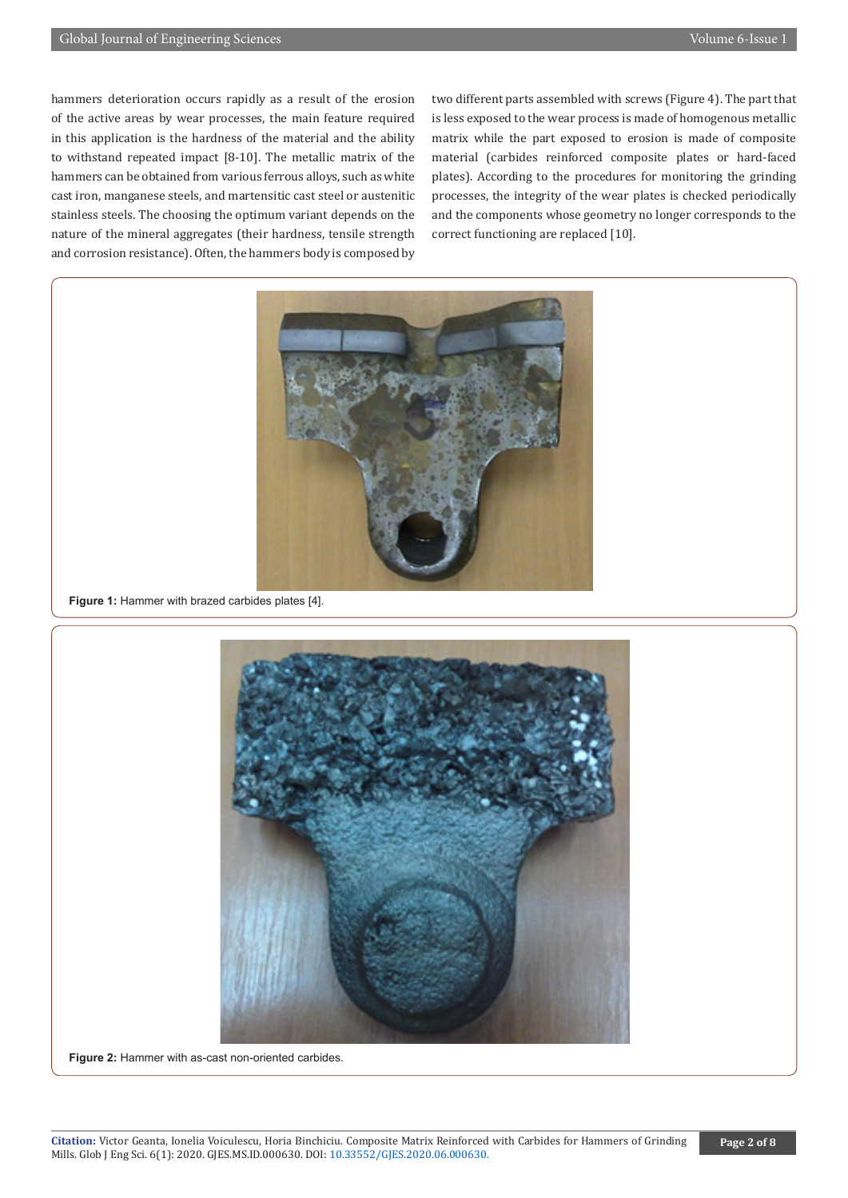hammers deterioration occurs rapidly as a result of the erosion of the active areas by wear processes, the main feature required in this application is the hardness of the material and the ability to withstand repeated impact [8-10]. The metallic matrix of the hammers can be obtained from various ferrous alloys, such as white cast iron, manganese steels, and martensitic cast steel or austenitic stainless steels. The choosing the optimum variant depends on the nature of the mineral aggregates (their hardness, tensile strength and corrosion resistance). Often, the hammers body is composed by

two different parts assembled with screws (Figure 4). The part that is less exposed to the wear process is made of homogenous metallic matrix while the part exposed to erosion is made of composite material (carbides reinforced composite plates or hard-faced plates). According to the procedures for monitoring the grinding processes, the integrity of the wear plates is checked periodically and the components whose geometry no longer corresponds to the correct functioning are replaced [10].



**Figure 1:** Hammer with brazed carbides plates [4].



**Figure 2:** Hammer with as-cast non-oriented carbides.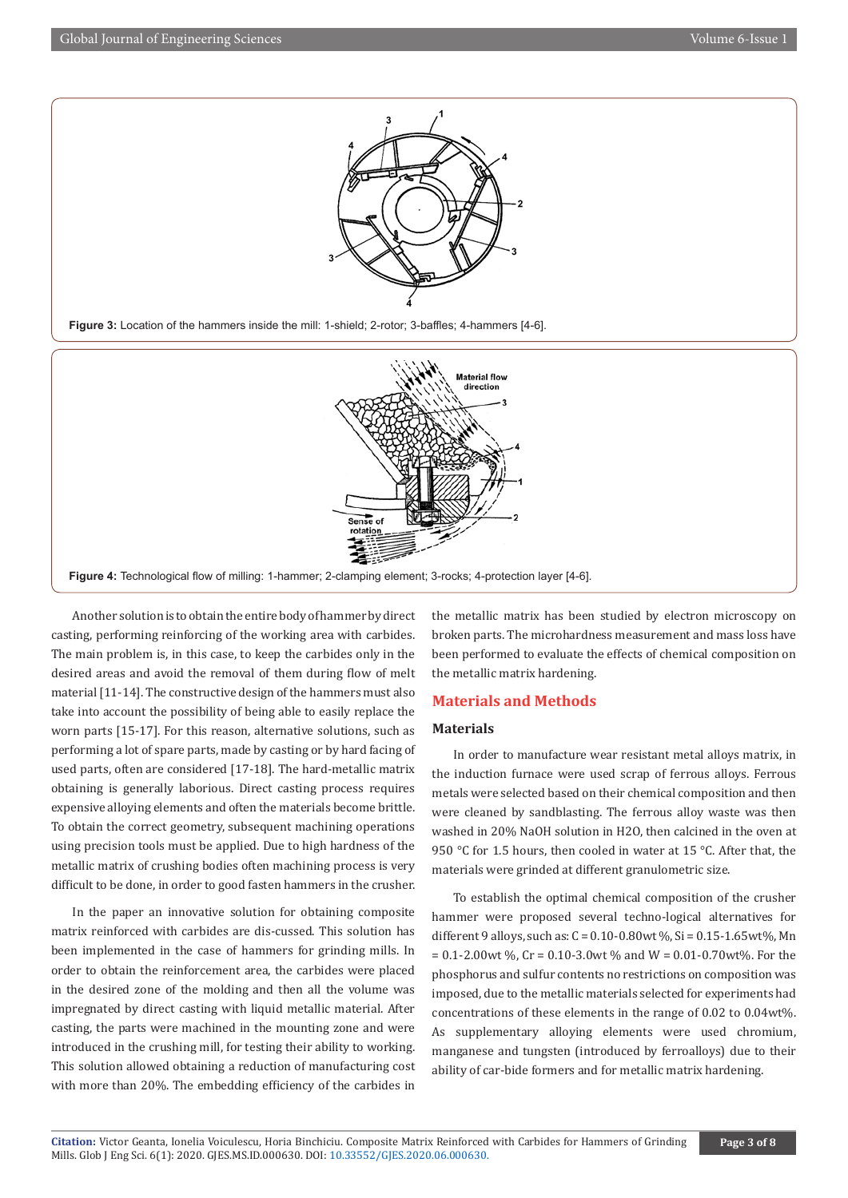

Another solution is to obtain the entire body of hammer by direct casting, performing reinforcing of the working area with carbides. The main problem is, in this case, to keep the carbides only in the desired areas and avoid the removal of them during flow of melt material [11-14]. The constructive design of the hammers must also take into account the possibility of being able to easily replace the worn parts [15-17]. For this reason, alternative solutions, such as performing a lot of spare parts, made by casting or by hard facing of used parts, often are considered [17-18]. The hard-metallic matrix obtaining is generally laborious. Direct casting process requires expensive alloying elements and often the materials become brittle. To obtain the correct geometry, subsequent machining operations using precision tools must be applied. Due to high hardness of the metallic matrix of crushing bodies often machining process is very difficult to be done, in order to good fasten hammers in the crusher.

In the paper an innovative solution for obtaining composite matrix reinforced with carbides are dis-cussed. This solution has been implemented in the case of hammers for grinding mills. In order to obtain the reinforcement area, the carbides were placed in the desired zone of the molding and then all the volume was impregnated by direct casting with liquid metallic material. After casting, the parts were machined in the mounting zone and were introduced in the crushing mill, for testing their ability to working. This solution allowed obtaining a reduction of manufacturing cost with more than 20%. The embedding efficiency of the carbides in

the metallic matrix has been studied by electron microscopy on broken parts. The microhardness measurement and mass loss have been performed to evaluate the effects of chemical composition on the metallic matrix hardening.

#### **Materials and Methods**

#### **Materials**

In order to manufacture wear resistant metal alloys matrix, in the induction furnace were used scrap of ferrous alloys. Ferrous metals were selected based on their chemical composition and then were cleaned by sandblasting. The ferrous alloy waste was then washed in 20% NaOH solution in H2O, then calcined in the oven at 950 °C for 1.5 hours, then cooled in water at 15 °C. After that, the materials were grinded at different granulometric size.

To establish the optimal chemical composition of the crusher hammer were proposed several techno-logical alternatives for different 9 alloys, such as: C = 0.10-0.80wt %, Si = 0.15-1.65wt%, Mn  $= 0.1 - 2.00$  wt %, Cr = 0.10-3.0 wt % and W = 0.01-0.70 wt %. For the phosphorus and sulfur contents no restrictions on composition was imposed, due to the metallic materials selected for experiments had concentrations of these elements in the range of 0.02 to 0.04wt%. As supplementary alloying elements were used chromium, manganese and tungsten (introduced by ferroalloys) due to their ability of car-bide formers and for metallic matrix hardening.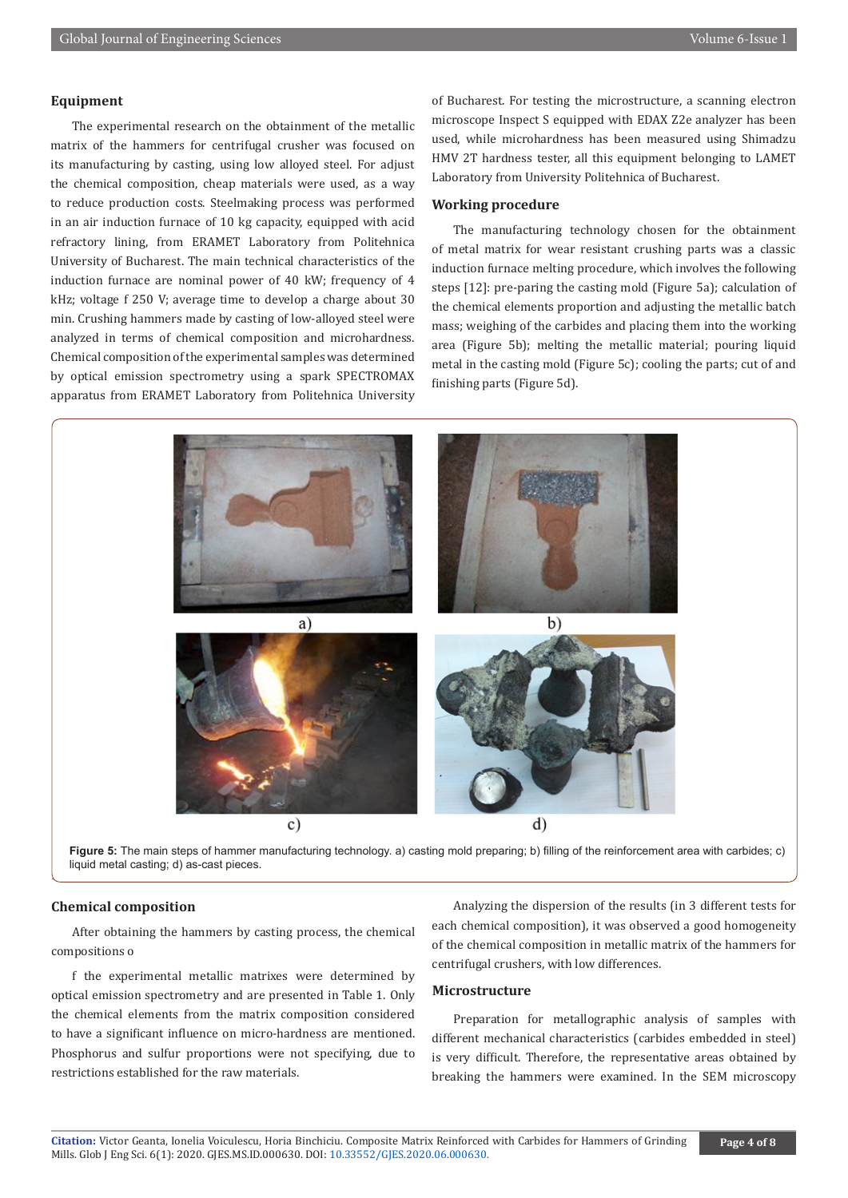#### **Equipment**

The experimental research on the obtainment of the metallic matrix of the hammers for centrifugal crusher was focused on its manufacturing by casting, using low alloyed steel. For adjust the chemical composition, cheap materials were used, as a way to reduce production costs. Steelmaking process was performed in an air induction furnace of 10 kg capacity, equipped with acid refractory lining, from ERAMET Laboratory from Politehnica University of Bucharest. The main technical characteristics of the induction furnace are nominal power of 40 kW; frequency of 4 kHz; voltage f 250 V; average time to develop a charge about 30 min. Crushing hammers made by casting of low-alloyed steel were analyzed in terms of chemical composition and microhardness. Chemical composition of the experimental samples was determined by optical emission spectrometry using a spark SPECTROMAX apparatus from ERAMET Laboratory from Politehnica University

of Bucharest. For testing the microstructure, a scanning electron microscope Inspect S equipped with EDAX Z2e analyzer has been used, while microhardness has been measured using Shimadzu HMV 2T hardness tester, all this equipment belonging to LAMET Laboratory from University Politehnica of Bucharest.

#### **Working procedure**

The manufacturing technology chosen for the obtainment of metal matrix for wear resistant crushing parts was a classic induction furnace melting procedure, which involves the following steps [12]: pre-paring the casting mold (Figure 5a); calculation of the chemical elements proportion and adjusting the metallic batch mass; weighing of the carbides and placing them into the working area (Figure 5b); melting the metallic material; pouring liquid metal in the casting mold (Figure 5c); cooling the parts; cut of and finishing parts (Figure 5d).



liquid metal casting; d) as-cast pieces.<br>
<u>liquid metal casting</u>; d) as-cast pieces. **Figure 5:** The main steps of hammer manufacturing technology. a) casting mold preparing; b) filling of the reinforcement area with carbides; c)

#### **Chemical composition**

After obtaining the hammers by casting process, the chemical compositions o

f the experimental metallic matrixes were determined by optical emission spectrometry and are presented in Table 1. Only the chemical elements from the matrix composition considered to have a significant influence on micro-hardness are mentioned. Phosphorus and sulfur proportions were not specifying, due to restrictions established for the raw materials.

Analyzing the dispersion of the results (in 3 different tests for each chemical composition), it was observed a good homogeneity of the chemical composition in metallic matrix of the hammers for centrifugal crushers, with low differences.

# **Microstructure**

Preparation for metallographic analysis of samples with different mechanical characteristics (carbides embedded in steel) is very difficult. Therefore, the representative areas obtained by breaking the hammers were examined. In the SEM microscopy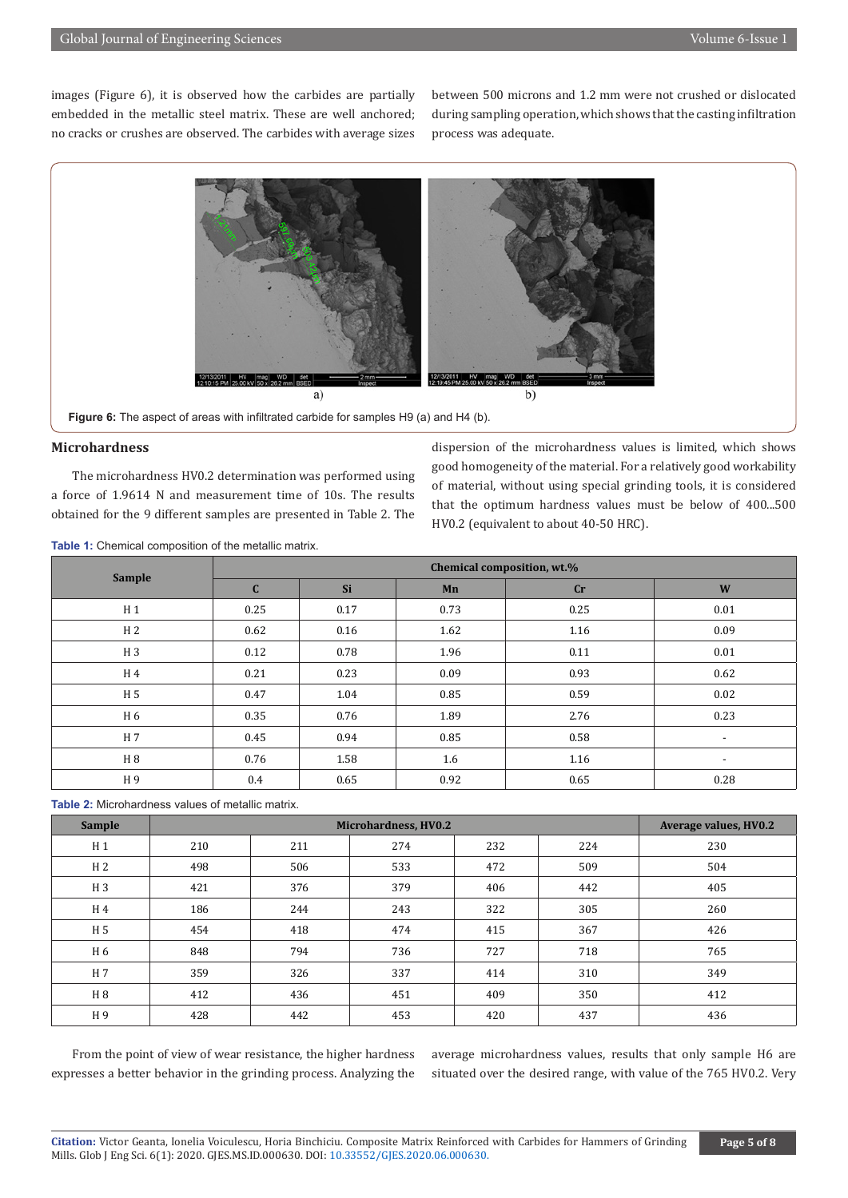images (Figure 6), it is observed how the carbides are partially embedded in the metallic steel matrix. These are well anchored; no cracks or crushes are observed. The carbides with average sizes between 500 microns and 1.2 mm were not crushed or dislocated during sampling operation, which shows that the casting infiltration process was adequate.



#### Figure 6: The aspect of areas with infiltrated carbide for samples H9 (a) and H4 (b).

# **Microhardness**

The microhardness HV0.2 determination was performed using a force of 1.9614 N and measurement time of 10s. The results obtained for the 9 different samples are presented in Table 2. The dispersion of the microhardness values is limited, which shows good homogeneity of the material. For a relatively good workability of material, without using special grinding tools, it is considered that the optimum hardness values must be below of 400...500 HV0.2 (equivalent to about 40-50 HRC).

| Sample         | Chemical composition, wt.% |      |      |      |                          |  |  |  |
|----------------|----------------------------|------|------|------|--------------------------|--|--|--|
|                | $\mathbf C$                | Si   | Mn   | cr   | W                        |  |  |  |
| H <sub>1</sub> | 0.25                       | 0.17 | 0.73 | 0.25 | 0.01                     |  |  |  |
| H <sub>2</sub> | 0.62                       | 0.16 | 1.62 | 1.16 | 0.09                     |  |  |  |
| H <sub>3</sub> | 0.12                       | 0.78 | 1.96 | 0.11 | 0.01                     |  |  |  |
| H 4            | 0.21                       | 0.23 | 0.09 | 0.93 | 0.62                     |  |  |  |
| H <sub>5</sub> | 0.47                       | 1.04 | 0.85 | 0.59 | 0.02                     |  |  |  |
| H 6            | 0.35                       | 0.76 | 1.89 | 2.76 | 0.23                     |  |  |  |
| H 7            | 0.45                       | 0.94 | 0.85 | 0.58 | $\overline{\phantom{a}}$ |  |  |  |
| H 8            | 0.76                       | 1.58 | 1.6  | 1.16 | $\overline{\phantom{a}}$ |  |  |  |
| H 9            | 0.4                        | 0.65 | 0.92 | 0.65 | 0.28                     |  |  |  |

**Table 1:** Chemical composition of the metallic matrix.

**Table 2:** Microhardness values of metallic matrix.

| <b>Sample</b>  |     | Average values, HV0.2 |     |     |     |     |
|----------------|-----|-----------------------|-----|-----|-----|-----|
| H <sub>1</sub> | 210 | 211                   | 274 | 232 | 224 | 230 |
| H <sub>2</sub> | 498 | 506                   | 533 | 472 | 509 | 504 |
| H <sub>3</sub> | 421 | 376                   | 379 | 406 | 442 | 405 |
| H <sub>4</sub> | 186 | 244                   | 243 | 322 | 305 | 260 |
| H <sub>5</sub> | 454 | 418                   | 474 | 415 | 367 | 426 |
| H 6            | 848 | 794                   | 736 | 727 | 718 | 765 |
| H 7            | 359 | 326                   | 337 | 414 | 310 | 349 |
| H 8            | 412 | 436                   | 451 | 409 | 350 | 412 |
| H9             | 428 | 442                   | 453 | 420 | 437 | 436 |

From the point of view of wear resistance, the higher hardness expresses a better behavior in the grinding process. Analyzing the average microhardness values, results that only sample H6 are situated over the desired range, with value of the 765 HV0.2. Very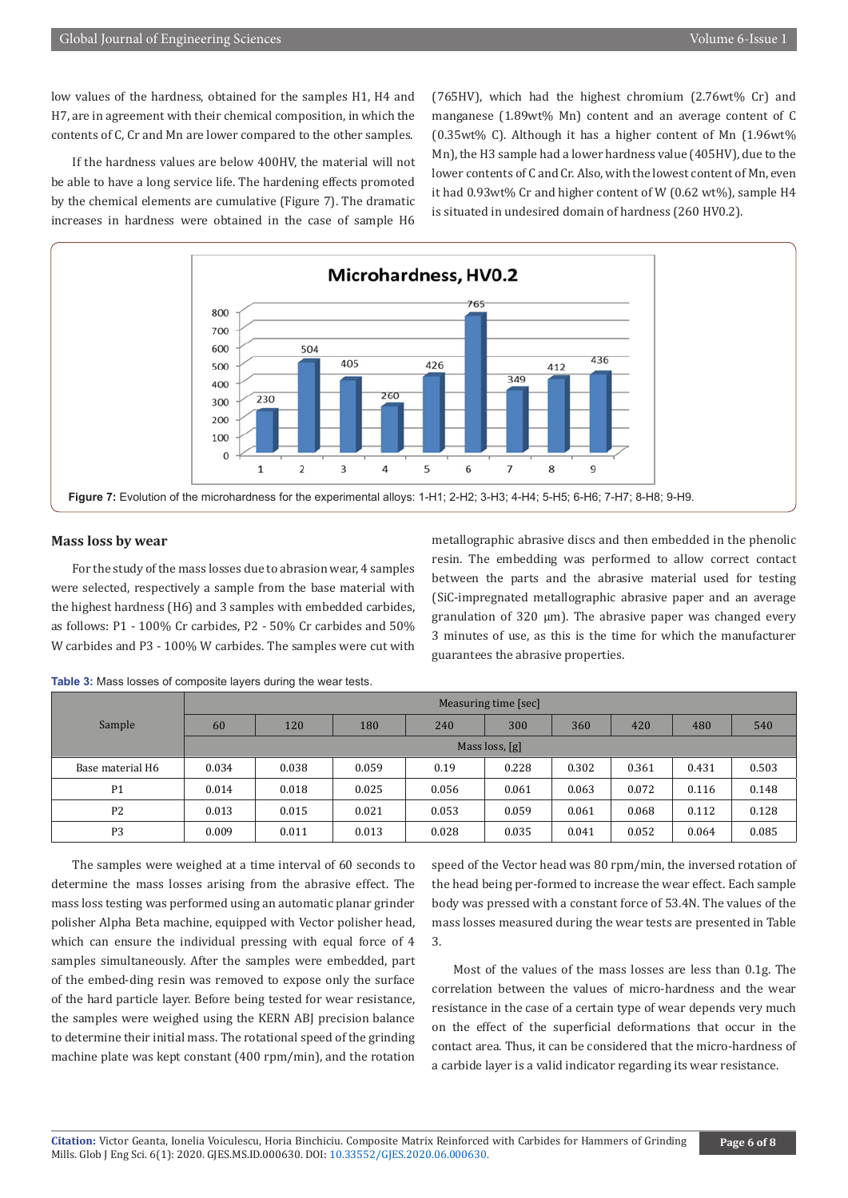low values of the hardness, obtained for the samples H1, H4 and H7, are in agreement with their chemical composition, in which the contents of C, Cr and Mn are lower compared to the other samples.

If the hardness values are below 400HV, the material will not be able to have a long service life. The hardening effects promoted by the chemical elements are cumulative (Figure 7). The dramatic increases in hardness were obtained in the case of sample H6 (765HV), which had the highest chromium (2.76wt% Cr) and manganese (1.89wt% Mn) content and an average content of C (0.35wt% C). Although it has a higher content of Mn (1.96wt% Mn), the H3 sample had a lower hardness value (405HV), due to the lower contents of C and Cr. Also, with the lowest content of Mn, even it had 0.93wt% Cr and higher content of W (0.62 wt%), sample H4 is situated in undesired domain of hardness (260 HV0.2).



#### **Mass loss by wear**

For the study of the mass losses due to abrasion wear, 4 samples were selected, respectively a sample from the base material with the highest hardness (H6) and 3 samples with embedded carbides, as follows: P1 - 100% Cr carbides, P2 - 50% Cr carbides and 50% W carbides and P3 - 100% W carbides. The samples were cut with metallographic abrasive discs and then embedded in the phenolic resin. The embedding was performed to allow correct contact between the parts and the abrasive material used for testing (SiC-impregnated metallographic abrasive paper and an average granulation of 320 µm). The abrasive paper was changed every 3 minutes of use, as this is the time for which the manufacturer guarantees the abrasive properties.

|                  | Measuring time [sec] |       |       |       |       |       |       |       |       |
|------------------|----------------------|-------|-------|-------|-------|-------|-------|-------|-------|
| Sample           | 60                   | 120   | 180   | 240   | 300   | 360   | 420   | 480   | 540   |
|                  | Mass loss, [g]       |       |       |       |       |       |       |       |       |
| Base material H6 | 0.034                | 0.038 | 0.059 | 0.19  | 0.228 | 0.302 | 0.361 | 0.431 | 0.503 |
| P <sub>1</sub>   | 0.014                | 0.018 | 0.025 | 0.056 | 0.061 | 0.063 | 0.072 | 0.116 | 0.148 |
| P <sub>2</sub>   | 0.013                | 0.015 | 0.021 | 0.053 | 0.059 | 0.061 | 0.068 | 0.112 | 0.128 |
| P <sub>3</sub>   | 0.009                | 0.011 | 0.013 | 0.028 | 0.035 | 0.041 | 0.052 | 0.064 | 0.085 |

**Table 3:** Mass losses of composite layers during the wear tests.

The samples were weighed at a time interval of 60 seconds to determine the mass losses arising from the abrasive effect. The mass loss testing was performed using an automatic planar grinder polisher Alpha Beta machine, equipped with Vector polisher head, which can ensure the individual pressing with equal force of 4 samples simultaneously. After the samples were embedded, part of the embed-ding resin was removed to expose only the surface of the hard particle layer. Before being tested for wear resistance, the samples were weighed using the KERN ABJ precision balance to determine their initial mass. The rotational speed of the grinding machine plate was kept constant (400 rpm/min), and the rotation

speed of the Vector head was 80 rpm/min, the inversed rotation of the head being per-formed to increase the wear effect. Each sample body was pressed with a constant force of 53.4N. The values of the mass losses measured during the wear tests are presented in Table 3.

Most of the values of the mass losses are less than 0.1g. The correlation between the values of micro-hardness and the wear resistance in the case of a certain type of wear depends very much on the effect of the superficial deformations that occur in the contact area. Thus, it can be considered that the micro-hardness of a carbide layer is a valid indicator regarding its wear resistance.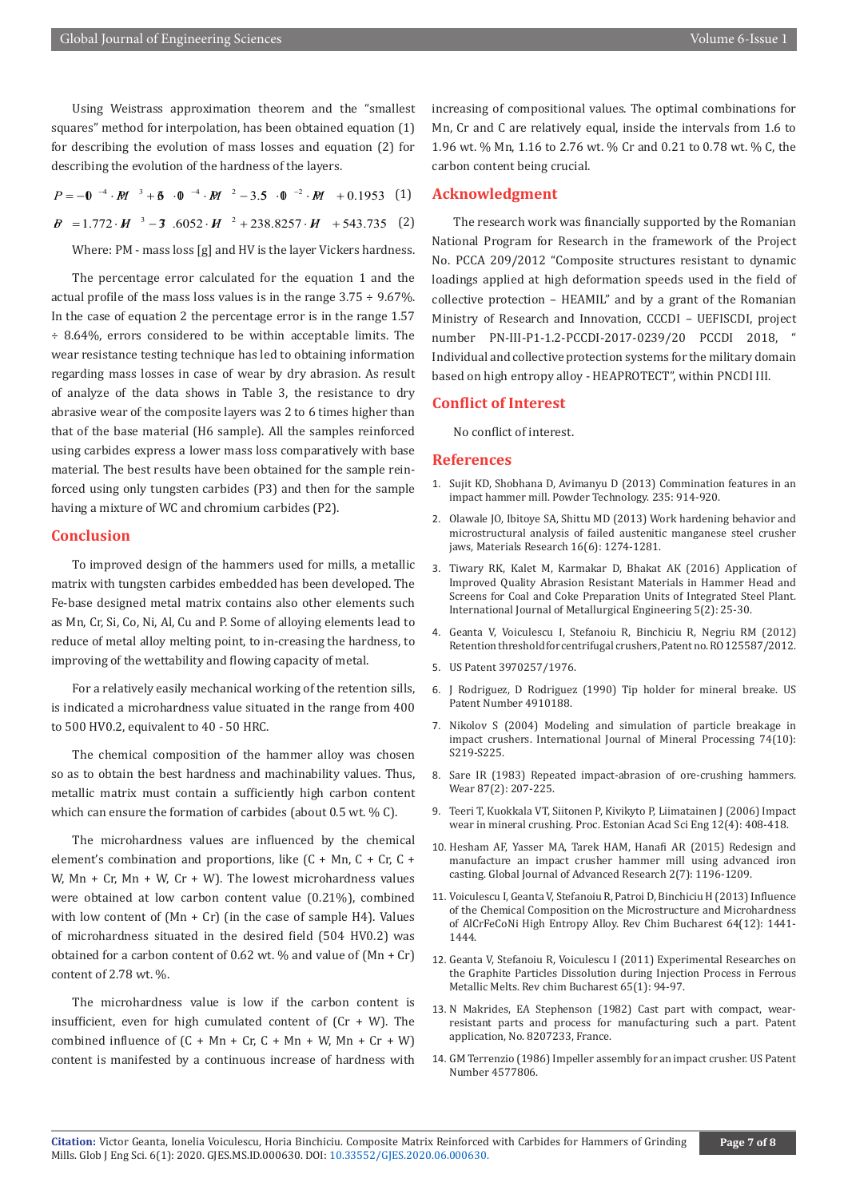Using Weistrass approximation theorem and the "smallest squares" method for interpolation, has been obtained equation (1) for describing the evolution of mass losses and equation (2) for describing the evolution of the hardness of the layers.

 $P = -0$   $-4 \cdot M^{3} + 6 \cdot 0^{4} \cdot M^{2} - 3.5 \cdot 0^{2} \cdot M^{2} + 0.1953$  (1)  $B = 1.772 \cdot H^{-3} - 3.6052 \cdot H^{-2} + 238.8257 \cdot H + 543.735$  (2)

Where: PM - mass loss [g] and HV is the layer Vickers hardness.

The percentage error calculated for the equation 1 and the actual profile of the mass loss values is in the range 3.75 ÷ 9.67%. In the case of equation 2 the percentage error is in the range 1.57 ÷ 8.64%, errors considered to be within acceptable limits. The wear resistance testing technique has led to obtaining information regarding mass losses in case of wear by dry abrasion. As result of analyze of the data shows in Table 3, the resistance to dry abrasive wear of the composite layers was 2 to 6 times higher than that of the base material (H6 sample). All the samples reinforced using carbides express a lower mass loss comparatively with base material. The best results have been obtained for the sample reinforced using only tungsten carbides (P3) and then for the sample having a mixture of WC and chromium carbides (P2).

### **Conclusion**

To improved design of the hammers used for mills, a metallic matrix with tungsten carbides embedded has been developed. The Fe-base designed metal matrix contains also other elements such as Mn, Cr, Si, Co, Ni, Al, Cu and P. Some of alloying elements lead to reduce of metal alloy melting point, to in-creasing the hardness, to improving of the wettability and flowing capacity of metal.

For a relatively easily mechanical working of the retention sills, is indicated a microhardness value situated in the range from 400 to 500 HV0.2, equivalent to 40 - 50 HRC.

The chemical composition of the hammer alloy was chosen so as to obtain the best hardness and machinability values. Thus, metallic matrix must contain a sufficiently high carbon content which can ensure the formation of carbides (about 0.5 wt. % C).

The microhardness values are influenced by the chemical element's combination and proportions, like (C + Mn, C + Cr, C + W,  $Mn + Cr$ ,  $Mn + W$ ,  $Cr + W$ ). The lowest microhardness values were obtained at low carbon content value (0.21%), combined with low content of  $(Mn + Cr)$  (in the case of sample H4). Values of microhardness situated in the desired field (504 HV0.2) was obtained for a carbon content of 0.62 wt. % and value of  $(Mn + Cr)$ content of 2.78 wt. %.

The microhardness value is low if the carbon content is insufficient, even for high cumulated content of  $(Cr + W)$ . The combined influence of  $(C + Mn + Cr, C + Mn + W, Mn + Cr + W)$ content is manifested by a continuous increase of hardness with

increasing of compositional values. The optimal combinations for Mn, Cr and C are relatively equal, inside the intervals from 1.6 to 1.96 wt. % Mn, 1.16 to 2.76 wt. % Cr and 0.21 to 0.78 wt. % C, the carbon content being crucial.

#### **Acknowledgment**

The research work was financially supported by the Romanian National Program for Research in the framework of the Project No. PCCA 209/2012 "Composite structures resistant to dynamic loadings applied at high deformation speeds used in the field of collective protection – HEAMIL" and by a grant of the Romanian Ministry of Research and Innovation, CCCDI – UEFISCDI, project number PN-III-P1-1.2-PCCDI-2017-0239/20 PCCDI 2018, " Individual and collective protection systems for the military domain based on high entropy alloy - HEAPROTECT", within PNCDI III.

#### **Conflict of Interest**

No conflict of interest.

#### **References**

- 1. Sujit KD, Shobhana D, Avimanyu D (2013) Commination features in an impact hammer mill. Powder Technology. 235: 914-920.
- 2. [Olawale JO, Ibitoye SA, Shittu MD \(2013\) Work hardening behavior and](https://www.scielo.br/scielo.php?pid=S1516-14392013005000144&script=sci_arttext) [microstructural analysis of failed austenitic manganese steel crusher](https://www.scielo.br/scielo.php?pid=S1516-14392013005000144&script=sci_arttext) [jaws, Materials Research 16\(6\): 1274-1281.](https://www.scielo.br/scielo.php?pid=S1516-14392013005000144&script=sci_arttext)
- 3. [Tiwary RK, Kalet M, Karmakar D, Bhakat AK \(2016\) Application of](http://article.sapub.org/10.5923.j.ijmee.20160502.02.html) [Improved Quality Abrasion Resistant Materials in Hammer Head and](http://article.sapub.org/10.5923.j.ijmee.20160502.02.html) [Screens for Coal and Coke Preparation Units of Integrated Steel Plant.](http://article.sapub.org/10.5923.j.ijmee.20160502.02.html) [International Journal of Metallurgical Engineering 5\(2\): 25-30.](http://article.sapub.org/10.5923.j.ijmee.20160502.02.html)
- 4. Geanta V, Voiculescu I, Stefanoiu R, Binchiciu R, Negriu RM (2012) Retention threshold for centrifugal crushers, Patent no. RO 125587/2012.
- 5. US Patent 3970257/1976.
- 6. J Rodriguez, D Rodriguez (1990) Tip holder for mineral breake. US Patent Number 4910188.
- 7. [Nikolov S \(2004\) Modeling and simulation of particle breakage in](https://www.sciencedirect.com/science/article/abs/pii/S0301751604000560) [impact crushers. International Journal of Mineral Processing 74\(10\):](https://www.sciencedirect.com/science/article/abs/pii/S0301751604000560) [S219-S225.](https://www.sciencedirect.com/science/article/abs/pii/S0301751604000560)
- 8. [Sare IR \(1983\) Repeated impact-abrasion of ore-crushing hammers.](https://www.sciencedirect.com/science/article/abs/pii/0043164883900352) [Wear 87\(2\): 207-225.](https://www.sciencedirect.com/science/article/abs/pii/0043164883900352)
- 9. Teeri T, Kuokkala VT, Siitonen P, Kivikyto P, Liimatainen J (2006) Impact wear in mineral crushing. Proc. Estonian Acad Sci Eng 12(4): 408-418.
- 10. Hesham AF, Yasser MA, Tarek HAM, Hanafi AR (2015) Redesign and manufacture an impact crusher hammer mill using advanced iron casting. Global Journal of Advanced Research 2(7): 1196-1209.
- 11. Voiculescu I, Geanta V, Stefanoiu R, Patroi D, Binchiciu H (2013) Influence of the Chemical Composition on the Microstructure and Microhardness of AlCrFeCoNi High Entropy Alloy. Rev Chim Bucharest 64(12): 1441- 1444.
- 12. Geanta V, Stefanoiu R, Voiculescu I (2011) Experimental Researches on the Graphite Particles Dissolution during Injection Process in Ferrous Metallic Melts. Rev chim Bucharest 65(1): 94-97.
- 13. N Makrides, EA Stephenson (1982) Cast part with compact, wearresistant parts and process for manufacturing such a part. Patent application, No. 8207233, France.
- 14. GM Terrenzio (1986) Impeller assembly for an impact crusher. US Patent Number 4577806.